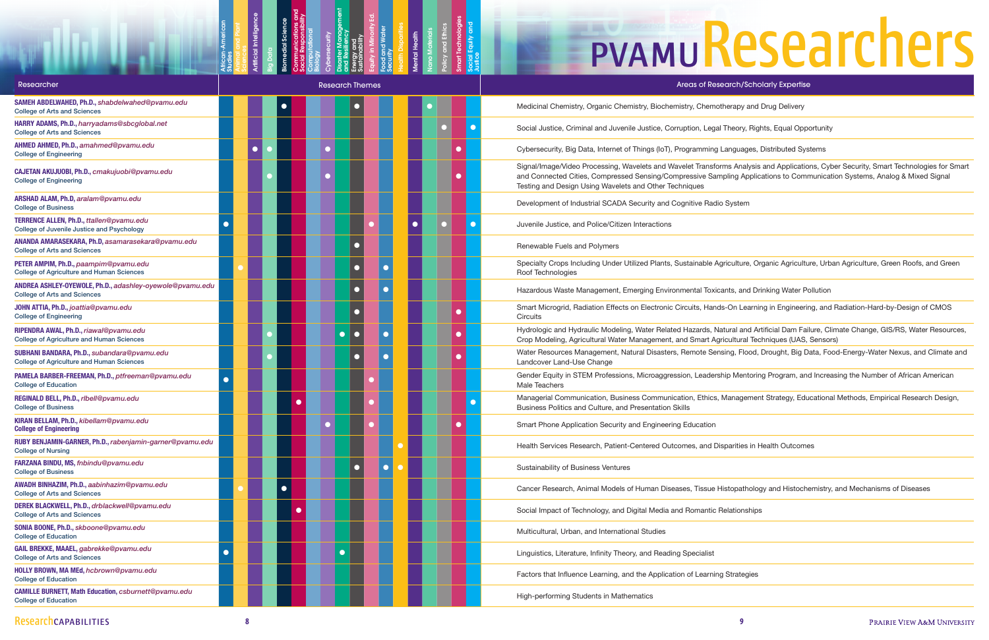Studies

Biomedial Science Communications and Social Responsibility Computational Biology Cybersecurity

Animal and Plant

Artificial Intelligence

Big Data

Disaster Management and Resiliency Energy and Sustainability Equity in Minority Ed. Food and Water **Security** 

Health Disparities Mental Health Nano Materials Policy and Ethics Smart Technologies Social Equity and

Justice

# **PVAMUResearchers**

ns Analysis and Applications, Cyber Security, Smart Technologies for Smart oling Applications to Communication Systems, Analog & Mixed Signal

riculture, Organic Agriculture, Urban Agriculture, Green Roofs, and Green

-On Learning in Engineering, and Radiation-Hard-by-Design of CMOS

tural and Artificial Dam Failure, Climate Change, GIS/RS, Water Resources, cultural Techniques (UAS, Sensors)

ing, Flood, Drought, Big Data, Food-Energy-Water Nexus, and Climate and

ip Mentoring Program, and Increasing the Number of African American

Aanagement Strategy, Educational Methods, Empirical Research Design,

stopathology and Histochemistry, and Mechanisms of Diseases

| <b>Researcher</b>                                                                               | <b>Research Themes</b> |  |             |  |                       |  |           |  |  | Areas of Research/Scholarly Expertise                                                                                                                                                                                                               |  |  |
|-------------------------------------------------------------------------------------------------|------------------------|--|-------------|--|-----------------------|--|-----------|--|--|-----------------------------------------------------------------------------------------------------------------------------------------------------------------------------------------------------------------------------------------------------|--|--|
| SAMEH ABDELWAHED, Ph.D., shabdelwahed@pvamu.edu<br><b>College of Arts and Sciences</b>          |                        |  |             |  |                       |  |           |  |  | Medicinal Chemistry, Organic Chemistry, Biochemistry, Chemotherapy and Drug Delivery                                                                                                                                                                |  |  |
| HARRY ADAMS, Ph.D., harryadams@sbcglobal.net<br><b>College of Arts and Sciences</b>             |                        |  |             |  |                       |  |           |  |  | Social Justice, Criminal and Juvenile Justice, Corruption, Legal Theory, Rights, Equal Opportunity                                                                                                                                                  |  |  |
| AHMED AHMED, Ph.D., amahmed@pvamu.edu<br><b>College of Engineering</b>                          |                        |  |             |  |                       |  |           |  |  | Cybersecurity, Big Data, Internet of Things (IoT), Programming Languages, Distributed Systems                                                                                                                                                       |  |  |
| CAJETAN AKUJUOBI, Ph.D., cmakujuobi@pvamu.edu<br><b>College of Engineering</b>                  |                        |  |             |  |                       |  |           |  |  | Signal/Image/Video Processing, Wavelets and Wavelet Transforms Analysis and Applications, Cyl<br>and Connected Cities, Compressed Sensing/Compressive Sampling Applications to Communicat<br>Testing and Design Using Wavelets and Other Techniques |  |  |
| ARSHAD ALAM, Ph.D, aralam@pvamu.edu<br><b>College of Business</b>                               |                        |  |             |  |                       |  |           |  |  | Development of Industrial SCADA Security and Cognitive Radio System                                                                                                                                                                                 |  |  |
| TERRENCE ALLEN, Ph.D., ttallen@pvamu.edu<br>College of Juvenile Justice and Psychology          |                        |  |             |  |                       |  |           |  |  | Juvenile Justice, and Police/Citizen Interactions                                                                                                                                                                                                   |  |  |
| ANANDA AMARASEKARA, Ph.D, asamarasekara@pvamu.edu<br><b>College of Arts and Sciences</b>        |                        |  |             |  |                       |  |           |  |  | Renewable Fuels and Polymers                                                                                                                                                                                                                        |  |  |
| PETER AMPIM, Ph.D., paampim@pvamu.edu<br><b>College of Agriculture and Human Sciences</b>       |                        |  |             |  |                       |  | $\bullet$ |  |  | Specialty Crops Including Under Utilized Plants, Sustainable Agriculture, Organic Agriculture, Urb<br>Roof Technologies                                                                                                                             |  |  |
| ANDREA ASHLEY-OYEWOLE, Ph.D., adashley-oyewole@pvamu.edu<br><b>College of Arts and Sciences</b> |                        |  |             |  |                       |  |           |  |  | Hazardous Waste Management, Emerging Environmental Toxicants, and Drinking Water Pollution                                                                                                                                                          |  |  |
| JOHN ATTIA, Ph.D., joattia@pvamu.edu<br><b>College of Engineering</b>                           |                        |  |             |  |                       |  |           |  |  | Smart Microgrid, Radiation Effects on Electronic Circuits, Hands-On Learning in Engineering, and<br>Circuits                                                                                                                                        |  |  |
| RIPENDRA AWAL, Ph.D., riawal@pvamu.edu<br><b>College of Agriculture and Human Sciences</b>      |                        |  |             |  | $\bullet$<br><b>O</b> |  | $\bullet$ |  |  | Hydrologic and Hydraulic Modeling, Water Related Hazards, Natural and Artificial Dam Failure, Cli<br>Crop Modeling, Agricultural Water Management, and Smart Agricultural Techniques (UAS, Sensor                                                   |  |  |
| SUBHANI BANDARA, Ph.D., subandara@pvamu.edu<br><b>College of Agriculture and Human Sciences</b> |                        |  |             |  |                       |  |           |  |  | Water Resources Management, Natural Disasters, Remote Sensing, Flood, Drought, Big Data, Fo<br>Landcover Land-Use Change                                                                                                                            |  |  |
| PAMELA BARBER-FREEMAN, Ph.D., ptfreeman@pvamu.edu<br><b>College of Education</b>                |                        |  |             |  |                       |  |           |  |  | Gender Equity in STEM Professions, Microaggression, Leadership Mentoring Program, and Increa<br>Male Teachers                                                                                                                                       |  |  |
| REGINALD BELL, Ph.D., rlbell@pvamu.edu<br><b>College of Business</b>                            |                        |  | $\bullet$ . |  |                       |  |           |  |  | Managerial Communication, Business Communication, Ethics, Management Strategy, Educationa<br>Business Politics and Culture, and Presentation Skills                                                                                                 |  |  |
| KIRAN BELLAM, Ph.D., kibellam@pvamu.edu<br><b>College of Engineering</b>                        |                        |  |             |  |                       |  |           |  |  | Smart Phone Application Security and Engineering Education                                                                                                                                                                                          |  |  |
| RUBY BENJAMIN-GARNER, Ph.D., rabenjamin-garner@pvamu.edu<br><b>College of Nursing</b>           |                        |  |             |  |                       |  |           |  |  | Health Services Research, Patient-Centered Outcomes, and Disparities in Health Outcomes                                                                                                                                                             |  |  |
| FARZANA BINDU, MS, fnbindu@pvamu.edu<br><b>College of Business</b>                              |                        |  |             |  | $\bullet$             |  | $\bullet$ |  |  | Sustainability of Business Ventures                                                                                                                                                                                                                 |  |  |
| AWADH BINHAZIM, Ph.D., aabinhazim@pvamu.edu<br><b>College of Arts and Sciences</b>              |                        |  | $\bullet$   |  |                       |  |           |  |  | Cancer Research, Animal Models of Human Diseases, Tissue Histopathology and Histochemistry,                                                                                                                                                         |  |  |
| DEREK BLACKWELL, Ph.D., drblackwell@pvamu.edu<br><b>College of Arts and Sciences</b>            |                        |  | $\bullet$   |  |                       |  |           |  |  | Social Impact of Technology, and Digital Media and Romantic Relationships                                                                                                                                                                           |  |  |
| SONIA BOONE, Ph.D., skboone@pvamu.edu<br><b>College of Education</b>                            |                        |  |             |  |                       |  |           |  |  | Multicultural, Urban, and International Studies                                                                                                                                                                                                     |  |  |
| GAIL BREKKE, MAAEL, gabrekke@pvamu.edu<br><b>College of Arts and Sciences</b>                   |                        |  |             |  | $\bullet$             |  |           |  |  | Linguistics, Literature, Infinity Theory, and Reading Specialist                                                                                                                                                                                    |  |  |
| HOLLY BROWN, MA MEd, hcbrown@pvamu.edu<br><b>College of Education</b>                           |                        |  |             |  |                       |  |           |  |  | Factors that Influence Learning, and the Application of Learning Strategies                                                                                                                                                                         |  |  |
| <b>CAMILLE BURNETT, Math Education, csburnett@pvamu.edu</b><br><b>College of Education</b>      |                        |  |             |  |                       |  |           |  |  | High-performing Students in Mathematics                                                                                                                                                                                                             |  |  |
|                                                                                                 |                        |  |             |  |                       |  |           |  |  |                                                                                                                                                                                                                                                     |  |  |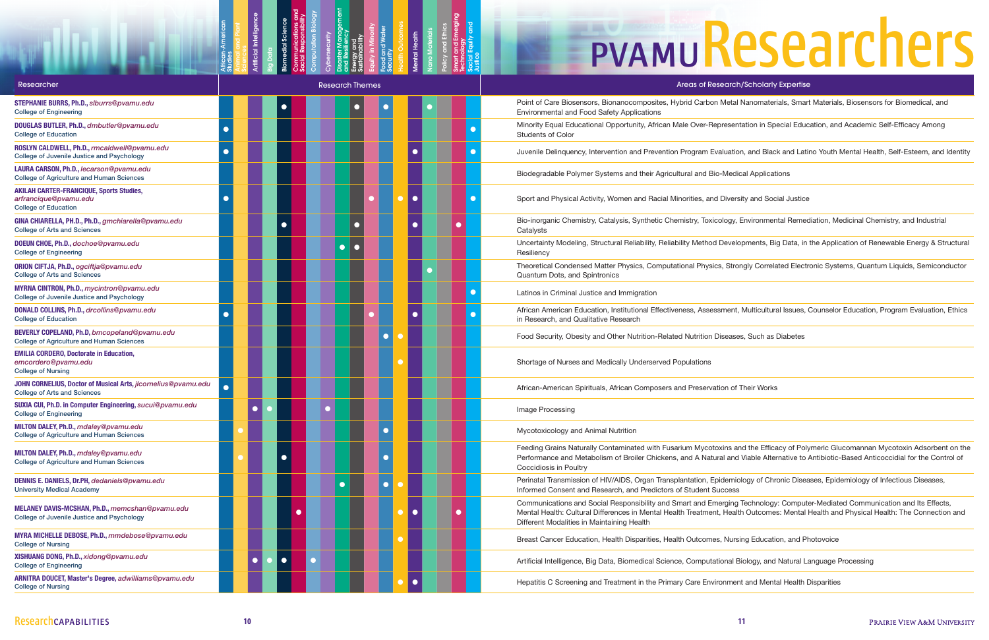Studies

Animal and Plant

Artificial Intelligence

Disaster Management and Resiliency Energy and Sustainability Equity in Minority Food and Water **Security** 

Big Data

Biomedial Science Communications and Social Responsibility Computation Biology

Cybersecurity

Health Outcomes Mental Health Nano Materials Policy and Ethics Smart and Emerging **Technology** Social Equity and

Justice

Aetal Nanomaterials, Smart Materials, Biosensors for Biomedical, and

esentation in Special Education, and Academic Self-Efficacy Among

Luation, and Black and Latino Youth Mental Health, Self-Esteem, and Identity

ogy, Environmental Remediation, Medicinal Chemistry, and Industrial

evelopments, Big Data, in the Application of Renewable Energy & Structural

Strongly Correlated Electronic Systems, Quantum Liquids, Semiconductor

nent, Multicultural Issues, Counselor Education, Program Evaluation, Ethics

ns and the Efficacy of Polymeric Glucomannan Mycotoxin Adsorbent on the and Viable Alternative to Antibiotic-Based Anticoccidial for the Control of

lemiology of Chronic Diseases, Epidemiology of Infectious Diseases,<br>cess

ging Technology: Computer-Mediated Communication and Its Effects, Health Outcomes: Mental Health and Physical Health: The Connection and

nal Biology, and Natural Language Processing

### **EPVAMUResearchers**

| Researcher                                                                                              | <b>Research Themes</b> | <b>Areas of Research/Scholarly Expertise</b>                                                                                                                                                                                                     |
|---------------------------------------------------------------------------------------------------------|------------------------|--------------------------------------------------------------------------------------------------------------------------------------------------------------------------------------------------------------------------------------------------|
| STEPHANIE BURRS, Ph.D., slburrs@pvamu.edu<br><b>College of Engineering</b>                              | $\bullet$              | Point of Care Biosensors, Bionanocomposites, Hybrid Carbon Metal Nanomaterials, Smart Materials<br>Environmental and Food Safety Applications                                                                                                    |
| DOUGLAS BUTLER, Ph.D., dmbutler@pvamu.edu<br><b>College of Education</b>                                |                        | Minority Equal Educational Opportunity, African Male Over-Representation in Special Education, and<br><b>Students of Color</b>                                                                                                                   |
| ROSLYN CALDWELL, Ph.D., rmcaldwell@pvamu.edu<br>College of Juvenile Justice and Psychology              |                        | Juvenile Delinquency, Intervention and Prevention Program Evaluation, and Black and Latino Youth                                                                                                                                                 |
| LAURA CARSON, Ph.D., lecarson@pvamu.edu<br><b>College of Agriculture and Human Sciences</b>             |                        | Biodegradable Polymer Systems and their Agricultural and Bio-Medical Applications                                                                                                                                                                |
| <b>AKILAH CARTER-FRANCIQUE, Sports Studies,</b><br>arfrancique@pvamu.edu<br><b>College of Education</b> | $\bullet$              | Sport and Physical Activity, Women and Racial Minorities, and Diversity and Social Justice                                                                                                                                                       |
| GINA CHIARELLA, PH.D., Ph.D., gmchiarella@pvamu.edu<br><b>College of Arts and Sciences</b>              | $\bullet$<br>$\Box$    | Bio-inorganic Chemistry, Catalysis, Synthetic Chemistry, Toxicology, Environmental Remediation, M<br>Catalysts                                                                                                                                   |
| DOEUN CHOE, Ph.D., dochoe@pvamu.edu<br><b>College of Engineering</b>                                    | $\Box$                 | Uncertainty Modeling, Structural Reliability, Reliability Method Developments, Big Data, in the Applic<br>Resiliency                                                                                                                             |
| ORION CIFTJA, Ph.D., ogciftja@pvamu.edu<br><b>College of Arts and Sciences</b>                          |                        | Theoretical Condensed Matter Physics, Computational Physics, Strongly Correlated Electronic Syst<br>Quantum Dots, and Spintronics                                                                                                                |
| MYRNA CINTRON, Ph.D., mycintron@pvamu.edu<br><b>College of Juvenile Justice and Psychology</b>          |                        | Latinos in Criminal Justice and Immigration                                                                                                                                                                                                      |
| DONALD COLLINS, Ph.D., drcollins@pvamu.edu<br><b>College of Education</b>                               | $\bullet$              | African American Education, Institutional Effectiveness, Assessment, Multicultural Issues, Counselor<br>in Research, and Qualitative Research                                                                                                    |
| BEVERLY COPELAND, Ph.D, bmcopeland@pvamu.edu<br><b>College of Agriculture and Human Sciences</b>        | $\bullet$              | Food Security, Obesity and Other Nutrition-Related Nutrition Diseases, Such as Diabetes                                                                                                                                                          |
| <b>EMILIA CORDERO, Doctorate in Education,</b><br>emcordero@pvamu.edu<br><b>College of Nursing</b>      |                        | Shortage of Nurses and Medically Underserved Populations                                                                                                                                                                                         |
| JOHN CORNELIUS, Doctor of Musical Arts, jlcornelius@pvamu.edu<br><b>College of Arts and Sciences</b>    |                        | African-American Spirituals, African Composers and Preservation of Their Works                                                                                                                                                                   |
| SUXIA CUI, Ph.D. in Computer Engineering, sucui@pvamu.edu<br><b>College of Engineering</b>              |                        | Image Processing                                                                                                                                                                                                                                 |
| MILTON DALEY, Ph.D., mdaley@pvamu.edu<br><b>College of Agriculture and Human Sciences</b>               | О                      | Mycotoxicology and Animal Nutrition                                                                                                                                                                                                              |
| MILTON DALEY, Ph.D., mdaley@pvamu.edu<br><b>College of Agriculture and Human Sciences</b>               | $\bullet$<br>$\bullet$ | Feeding Grains Naturally Contaminated with Fusarium Mycotoxins and the Efficacy of Polymeric Glu<br>Performance and Metabolism of Broiler Chickens, and A Natural and Viable Alternative to Antibiotic-<br>Coccidiosis in Poultry                |
| DENNIS E. DANIELS, Dr.PH, dedaniels@pvamu.edu<br><b>University Medical Academy</b>                      | $\bullet$              | Perinatal Transmission of HIV/AIDS, Organ Transplantation, Epidemiology of Chronic Diseases, Epid<br>Informed Consent and Research, and Predictors of Student Success                                                                            |
| MELANEY DAVIS-MCSHAN, Ph.D., memcshan@pvamu.edu<br>College of Juvenile Justice and Psychology           | $\bullet$<br>$\bullet$ | Communications and Social Responsibility and Smart and Emerging Technology: Computer-Mediate<br>Mental Health: Cultural Differences in Mental Health Treatment, Health Outcomes: Mental Health and<br>Different Modalities in Maintaining Health |
| MYRA MICHELLE DEBOSE, Ph.D., mmdebose@pvamu.edu<br><b>College of Nursing</b>                            |                        | Breast Cancer Education, Health Disparities, Health Outcomes, Nursing Education, and Photovoice                                                                                                                                                  |
| XISHUANG DONG, Ph.D., xidong@pvamu.edu<br><b>College of Engineering</b>                                 | $\bullet$<br>$\bullet$ | Artificial Intelligence, Big Data, Biomedical Science, Computational Biology, and Natural Language F                                                                                                                                             |
| ARNITRA DOUCET, Master's Degree, adwilliams@pvamu.edu<br><b>College of Nursing</b>                      |                        | Hepatitis C Screening and Treatment in the Primary Care Environment and Mental Health Disparities                                                                                                                                                |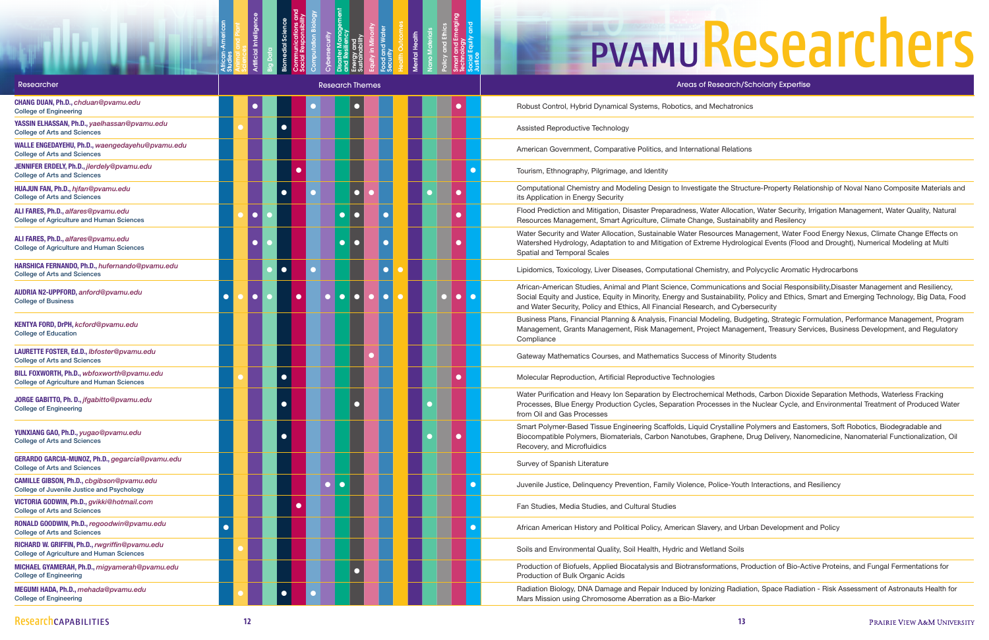Studies

Animal and Plant

Artificial Intelligence

Disaster Management and Resiliency Energy and Sustainability Equity in Minority Food and Water **Security** 

Big Data

Biomedial Science Communications and Social Responsibility Computation Biology

Cybersecurity

Health Outcomes Mental Health Nano Materials Policy and Ethics Smart and Emerging **Technology** Social Equity and

Justice

# **LPVAMUResearchers**

le Structure-Property Relationship of Noval Nano Composite Materials and

Illocation, Water Security, Irrigation Management, Water Quality, Natural astainablity and Resilency

es Management, Water Food Energy Nexus, Climate Change Effects on Hydrological Events (Flood and Drought), Numerical Modeling at Multi

y, and Polycyclic Aromatic Hydrocarbons

ations and Social Responsibility, Disaster Management and Resiliency, ability, Policy and Ethics, Smart and Emerging Technology, Big Data, Food d Cybersecurity

ng, Budgeting, Strategic Formulation, Performance Management, Program Management, Treasury Services, Business Development, and Regulatory

Methods, Carbon Dioxide Separation Methods, Waterless Fracking es in the Nuclear Cycle, and Environmental Treatment of Produced Water

stalline Polymers and Eastomers, Soft Robotics, Biodegradable and bhene, Drug Delivery, Nanomedicine, Nanomaterial Functionalization, Oil

ions, Production of Bio-Active Proteins, and Fungal Fermentations for

Radiation, Space Radiation - Risk Assessment of Astronauts Health for

| Researcher                                                                                         | <b>Research Themes</b>                           | Areas of Research/Scholarly Expertise                                                                                                                                                                                                                                                           |
|----------------------------------------------------------------------------------------------------|--------------------------------------------------|-------------------------------------------------------------------------------------------------------------------------------------------------------------------------------------------------------------------------------------------------------------------------------------------------|
| CHANG DUAN, Ph.D., chduan@pvamu.edu<br><b>College of Engineering</b>                               |                                                  | Robust Control, Hybrid Dynamical Systems, Robotics, and Mechatronics                                                                                                                                                                                                                            |
| YASSIN ELHASSAN, Ph.D., yaelhassan@pvamu.edu<br><b>College of Arts and Sciences</b>                | $\bullet$                                        | Assisted Reproductive Technology                                                                                                                                                                                                                                                                |
| WALLE ENGEDAYEHU, Ph.D., waengedayehu@pvamu.edu<br><b>College of Arts and Sciences</b>             |                                                  | American Government, Comparative Politics, and International Relations                                                                                                                                                                                                                          |
| JENNIFER ERDELY, Ph.D., jlerdely@pvamu.edu<br><b>College of Arts and Sciences</b>                  | $\bullet$                                        | Tourism, Ethnography, Pilgrimage, and Identity                                                                                                                                                                                                                                                  |
| HUAJUN FAN, Ph.D., hjfan@pvamu.edu<br><b>College of Arts and Sciences</b>                          | $\bullet$                                        | Computational Chemistry and Modeling Design to Investigate the Structure-Property Relationship of<br>its Application in Energy Security                                                                                                                                                         |
| ALI FARES, Ph.D., alfares@pvamu.edu<br><b>College of Agriculture and Human Sciences</b>            | $\bullet$                                        | Flood Prediction and Mitigation, Disaster Preparadness, Water Allocation, Water Security, Irrigation I<br>Resources Management, Smart Agriculture, Climate Change, Sustainablity and Resilency                                                                                                  |
| ALI FARES, Ph.D., alfares@pvamu.edu<br><b>College of Agriculture and Human Sciences</b>            | $\bullet$                                        | Water Security and Water Allocation, Sustainable Water Resources Management, Water Food Energ<br>Watershed Hydrology, Adaptation to and Mitigation of Extreme Hydrological Events (Flood and Drou<br>Spatial and Temporal Scales                                                                |
| HARSHICA FERNANDO, Ph.D., hufernando@pvamu.edu<br><b>College of Arts and Sciences</b>              | $\bullet$<br>$\bullet$<br>$\bullet$              | Lipidomics, Toxicology, Liver Diseases, Computational Chemistry, and Polycyclic Aromatic Hydroca                                                                                                                                                                                                |
| AUDRIA N2-UPPFORD, anford@pvamu.edu<br><b>College of Business</b>                                  | $\bullet$<br>$\bullet$<br>$\bigcap$<br>$\bigcap$ | African-American Studies, Animal and Plant Science, Communications and Social Responsibility, Dis<br>Social Equity and Justice, Equity in Minority, Energy and Sustainability, Policy and Ethics, Smart and<br>and Water Security, Policy and Ethics, All Financial Research, and Cybersecurity |
| KENTYA FORD, DrPH, kcford@pvamu.edu<br><b>College of Education</b>                                 |                                                  | Business Plans, Financial Planning & Analysis, Financial Modeling, Budgeting, Strategic Formulatior<br>Management, Grants Management, Risk Management, Project Management, Treasury Services, Bus<br>Compliance                                                                                 |
| LAURETTE FOSTER, Ed.D., Ibfoster@pvamu.edu<br><b>College of Arts and Sciences</b>                  | $\bullet$                                        | Gateway Mathematics Courses, and Mathematics Success of Minority Students                                                                                                                                                                                                                       |
| BILL FOXWORTH, Ph.D., wbfoxworth@pvamu.edu<br><b>College of Agriculture and Human Sciences</b>     | $\bullet$                                        | Molecular Reproduction, Artificial Reproductive Technologies                                                                                                                                                                                                                                    |
| JORGE GABITTO, Ph. D., jfgabitto@pvamu.edu<br><b>College of Engineering</b>                        |                                                  | Water Purification and Heavy Ion Separation by Electrochemical Methods, Carbon Dioxide Separation<br>Processes, Blue Energy Production Cycles, Separation Processes in the Nuclear Cycle, and Environ<br>from Oil and Gas Processes                                                             |
| YUNXIANG GAO, Ph.D., yugao@pvamu.edu<br><b>College of Arts and Sciences</b>                        |                                                  | Smart Polymer-Based Tissue Engineering Scaffolds, Liquid Crystalline Polymers and Eastomers, So<br>Biocompatible Polymers, Biomaterials, Carbon Nanotubes, Graphene, Drug Delivery, Nanomedicine<br>Recovery, and Microfluidics                                                                 |
| GERARDO GARCIA-MUNOZ, Ph.D., gegarcia@pvamu.edu<br><b>College of Arts and Sciences</b>             |                                                  | Survey of Spanish Literature                                                                                                                                                                                                                                                                    |
| CAMILLE GIBSON, Ph.D., cbgibson@pvamu.edu<br>College of Juvenile Justice and Psychology            | $\bullet$<br>$\bullet$                           | Juvenile Justice, Delinquency Prevention, Family Violence, Police-Youth Interactions, and Resiliency                                                                                                                                                                                            |
| VICTORIA GODWIN, Ph.D., gvikki@hotmail.com<br><b>College of Arts and Sciences</b>                  | $\bullet$                                        | Fan Studies, Media Studies, and Cultural Studies                                                                                                                                                                                                                                                |
| RONALD GOODWIN, Ph.D., regoodwin@pvamu.edu<br><b>College of Arts and Sciences</b>                  |                                                  | African American History and Political Policy, American Slavery, and Urban Development and Policy                                                                                                                                                                                               |
| RICHARD W. GRIFFIN, Ph.D., rwgriffin@pvamu.edu<br><b>College of Agriculture and Human Sciences</b> |                                                  | Soils and Environmental Quality, Soil Health, Hydric and Wetland Soils                                                                                                                                                                                                                          |
| MICHAEL GYAMERAH, Ph.D., migyamerah@pvamu.edu<br><b>College of Engineering</b>                     |                                                  | Production of Biofuels, Applied Biocatalysis and Biotransformations, Production of Bio-Active Prote<br>Production of Bulk Organic Acids                                                                                                                                                         |
| MEGUMI HADA, Ph.D., mehada@pvamu.edu<br><b>College of Engineering</b>                              | $\bullet$                                        | Radiation Biology, DNA Damage and Repair Induced by Ionizing Radiation, Space Radiation - Risk /<br>Mars Mission using Chromosome Aberration as a Bio-Marker                                                                                                                                    |
|                                                                                                    |                                                  |                                                                                                                                                                                                                                                                                                 |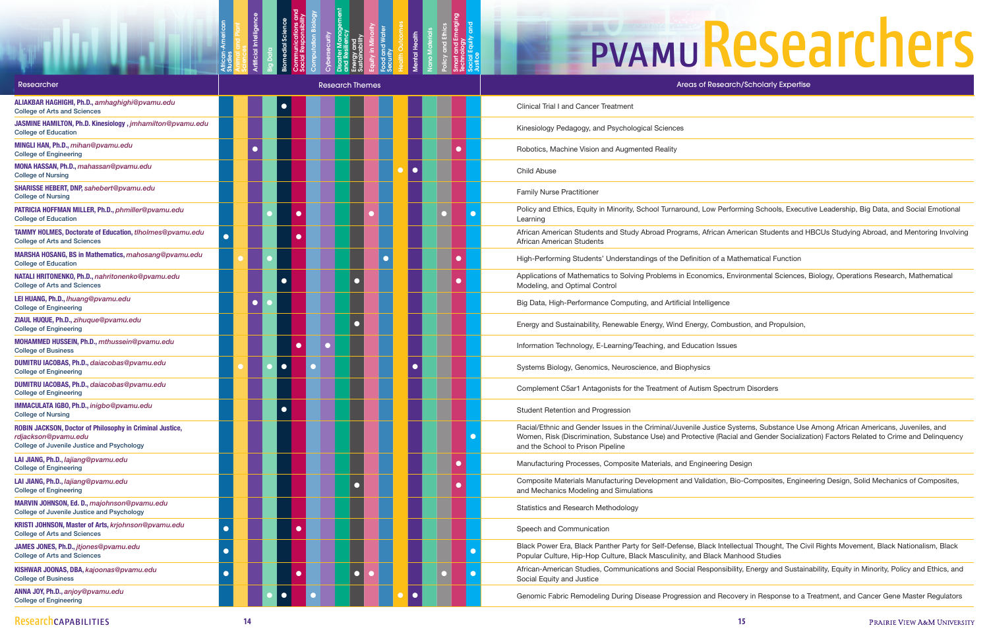Studies

Animal and Plant

Artificial Intelligence

Disaster Management and Resiliency Energy and Sustainability Equity in Minority Food and Water **Security** 

Big Data

Biomedial Science Communications and Social Responsibility Computation Biology

Cybersecurity

Health Outcomes Mental Health Nano Materials Policy and Ethics Smart and Emerging **Technology** Social Equity and

Justice

# PVAMUResearch/Scholarly Expertise

erforming Schools, Executive Leadership, Big Data, and Social Emotional

**American Students and HBCUs Studying Abroad, and Mentoring Involving American Students and HBCUs Studying** 

Environmental Sciences, Biology, Operations Research, Mathematical

Racial Systems, Substance Use Among African Americans, Juveniles, and acial and Gender Socialization) Factors Related to Crime and Delinquency

n, Bio-Composites, Engineering Design, Solid Mechanics of Composites,

tellectual Thought, The Civil Rights Movement, Black Nationalism, Black **Manhood Studies** 

sibility, Energy and Sustainability, Equity in Minority, Policy and Ethics, and

ecovery in Response to a Treatment, and Cancer Gene Master Regulators

| Researcher                                                                                                                    | <b>Research Themes</b>  | <b>Areas of Research/Scholarly Expertise</b>                                                                                                                                                                            |
|-------------------------------------------------------------------------------------------------------------------------------|-------------------------|-------------------------------------------------------------------------------------------------------------------------------------------------------------------------------------------------------------------------|
| ALIAKBAR HAGHIGHI, Ph.D., amhaghighi@pvamu.edu<br><b>College of Arts and Sciences</b>                                         |                         | <b>Clinical Trial I and Cancer Treatment</b>                                                                                                                                                                            |
| JASMINE HAMILTON, Ph.D. Kinesiology, jmhamilton@pvamu.edu<br><b>College of Education</b>                                      |                         | Kinesiology Pedagogy, and Psychological Sciences                                                                                                                                                                        |
| MINGLI HAN, Ph.D., mihan@pvamu.edu<br><b>College of Engineering</b>                                                           |                         | Robotics, Machine Vision and Augmented Reality                                                                                                                                                                          |
| MONA HASSAN, Ph.D., mahassan@pvamu.edu<br><b>College of Nursing</b>                                                           | $\bullet$               | <b>Child Abuse</b>                                                                                                                                                                                                      |
| SHARISSE HEBERT, DNP, sahebert@pvamu.edu<br><b>College of Nursing</b>                                                         |                         | <b>Family Nurse Practitioner</b>                                                                                                                                                                                        |
| PATRICIA HOFFMAN MILLER, Ph.D., phmiller@pvamu.edu<br><b>College of Education</b>                                             | $\bullet$               | Policy and Ethics, Equity in Minority, School Turnaround, Low Performing Schools, Executi<br>Learning                                                                                                                   |
| TAMMY HOLMES, Doctorate of Education, tlholmes@pvamu.edu<br><b>College of Arts and Sciences</b>                               |                         | African American Students and Study Abroad Programs, African American Students and H<br>African American Students                                                                                                       |
| MARSHA HOSANG, BS in Mathematics, mahosang@pvamu.edu<br><b>College of Education</b>                                           |                         | High-Performing Students' Understandings of the Definition of a Mathematical Function                                                                                                                                   |
| NATALI HRITONENKO, Ph.D., nahritonenko@pvamu.edu<br><b>College of Arts and Sciences</b>                                       |                         | Applications of Mathematics to Solving Problems in Economics, Environmental Sciences, I<br>Modeling, and Optimal Control                                                                                                |
| LEI HUANG, Ph.D., Ihuang@pvamu.edu<br><b>College of Engineering</b>                                                           |                         | Big Data, High-Performance Computing, and Artificial Intelligence                                                                                                                                                       |
| ZIAUL HUQUE, Ph.D., zihuque@pvamu.edu<br><b>College of Engineering</b>                                                        |                         | Energy and Sustainability, Renewable Energy, Wind Energy, Combustion, and Propulsion,                                                                                                                                   |
| MOHAMMED HUSSEIN, Ph.D., mthussein@pvamu.edu<br><b>College of Business</b>                                                    |                         | Information Technology, E-Learning/Teaching, and Education Issues                                                                                                                                                       |
| DUMITRU IACOBAS, Ph.D., daiacobas@pvamu.edu<br><b>College of Engineering</b>                                                  | $\bigcirc$<br>$\bullet$ | Systems Biology, Genomics, Neuroscience, and Biophysics                                                                                                                                                                 |
| DUMITRU IACOBAS, Ph.D., daiacobas@pvamu.edu<br><b>College of Engineering</b>                                                  |                         | Complement C5ar1 Antagonists for the Treatment of Autism Spectrum Disorders                                                                                                                                             |
| IMMACULATA IGBO, Ph.D., inigbo@pvamu.edu<br><b>College of Nursing</b>                                                         |                         | Student Retention and Progression                                                                                                                                                                                       |
| ROBIN JACKSON, Doctor of Philosophy in Criminal Justice,<br>rdjackson@pvamu.edu<br>College of Juvenile Justice and Psychology |                         | Racial/Ethnic and Gender Issues in the Criminal/Juvenile Justice Systems, Substance Use<br>Women, Risk (Discrimination, Substance Use) and Protective (Racial and Gender Socializa<br>and the School to Prison Pipeline |
| LAI JIANG, Ph.D., lajiang@pvamu.edu<br><b>College of Engineering</b>                                                          | $\bullet$               | Manufacturing Processes, Composite Materials, and Engineering Design                                                                                                                                                    |
| LAI JIANG, Ph.D., lajiang@pvamu.edu<br><b>College of Engineering</b>                                                          | O                       | Composite Materials Manufacturing Development and Validation, Bio-Composites, Engine<br>and Mechanics Modeling and Simulations                                                                                          |
| MARVIN JOHNSON, Ed. D., majohnson@pvamu.edu<br>College of Juvenile Justice and Psychology                                     |                         | Statistics and Research Methodology                                                                                                                                                                                     |
| KRISTI JOHNSON, Master of Arts, krjohnson@pvamu.edu<br><b>College of Arts and Sciences</b>                                    | $\bullet$               | Speech and Communication                                                                                                                                                                                                |
| JAMES JONES, Ph.D., jtjones@pvamu.edu<br><b>College of Arts and Sciences</b>                                                  |                         | Black Power Era, Black Panther Party for Self-Defense, Black Intellectual Thought, The Civ<br>Popular Culture, Hip-Hop Culture, Black Masculinity, and Black Manhood Studies                                            |
| KISHWAR JOONAS, DBA, kajoonas@pvamu.edu<br><b>College of Business</b>                                                         | $\Box$                  | African-American Studies, Communications and Social Responsibility, Energy and Sustaina<br>Social Equity and Justice                                                                                                    |
| ANNA JOY, Ph.D., anjoy@pvamu.edu<br><b>College of Engineering</b>                                                             |                         | Genomic Fabric Remodeling During Disease Progression and Recovery in Response to a 7                                                                                                                                    |
|                                                                                                                               |                         |                                                                                                                                                                                                                         |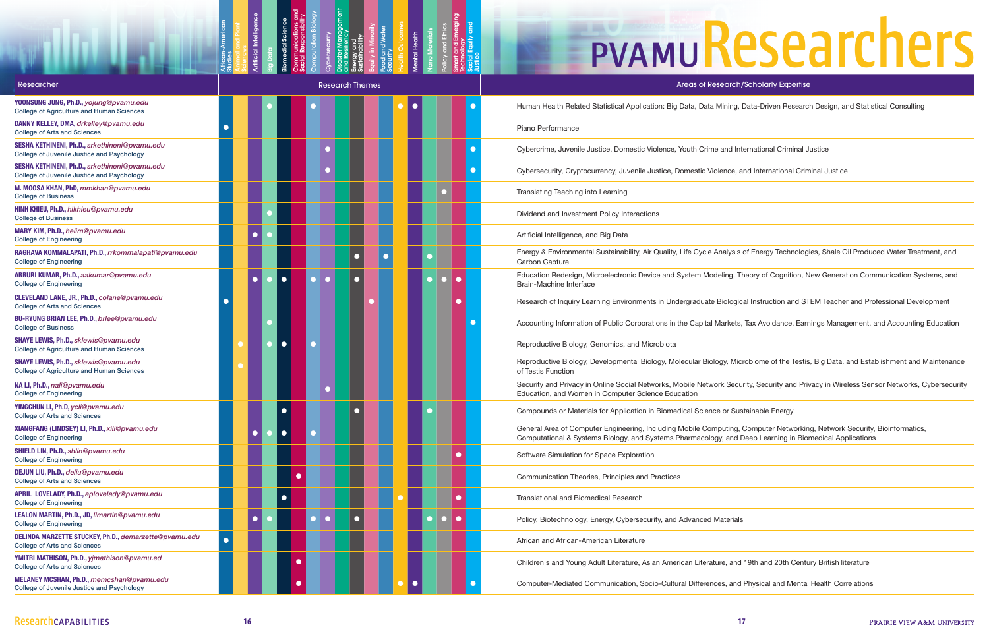Studies

Animal and Plant

Artificial Intelligence

Disaster Management and Resiliency Energy and Sustainability Equity in Minority Food and Water **Security** 

Big Data

Biomedial Science Communications and Social Responsibility Computation Biology

Cybersecurity

Health Outcomes Mental Health Nano Materials Policy and Ethics Smart and Emerging **Technology** Social Equity and

Justice

### **EPVAMUResearchers**

ning, Data-Driven Research Design, and Statistical Consulting

alysis of Energy Technologies, Shale Oil Produced Water Treatment, and

ing, Theory of Cognition, New Generation Communication Systems, and

ological Instruction and STEM Teacher and Professional Development

rkets, Tax Avoidance, Earnings Management, and Accounting Education

y, Microbiome of the Testis, Big Data, and Establishment and Maintenance

Gollege Security and Privacy in Wireless Sensor Networks, Cybersecurity, Security

Iting, Computer Networking, Network Security, Bioinformatics, and Deep Learning in Biomedical Applications

e, and 19th and 20th Century British literature,

s, and Physical and Mental Health Correlations

| Researcher                                                                                       |           |   |           | <b>Research Themes</b> |  |                     |  | Areas of Research/Scholarly Expertise                                                                                                                                                            |
|--------------------------------------------------------------------------------------------------|-----------|---|-----------|------------------------|--|---------------------|--|--------------------------------------------------------------------------------------------------------------------------------------------------------------------------------------------------|
| YOONSUNG JUNG, Ph.D., yojung@pvamu.edu<br><b>College of Agriculture and Human Sciences</b>       |           |   |           |                        |  |                     |  | Human Health Related Statistical Application: Big Data, Data Mining, Data-Driven Research Design, ar                                                                                             |
| DANNY KELLEY, DMA, drkelley@pvamu.edu<br><b>College of Arts and Sciences</b>                     |           |   |           |                        |  |                     |  | Piano Performance                                                                                                                                                                                |
| SESHA KETHINENI, Ph.D., srkethineni@pvamu.edu<br>College of Juvenile Justice and Psychology      |           |   |           |                        |  |                     |  | Cybercrime, Juvenile Justice, Domestic Violence, Youth Crime and International Criminal Justice                                                                                                  |
| SESHA KETHINENI, Ph.D., srkethineni@pvamu.edu<br>College of Juvenile Justice and Psychology      |           |   |           |                        |  |                     |  | Cybersecurity, Cryptocurrency, Juvenile Justice, Domestic Violence, and International Criminal Justice                                                                                           |
| M. MOOSA KHAN, PhD, mmkhan@pvamu.edu<br><b>College of Business</b>                               |           |   |           |                        |  |                     |  | Translating Teaching into Learning                                                                                                                                                               |
| HINH KHIEU, Ph.D., hikhieu@pvamu.edu<br><b>College of Business</b>                               |           |   |           |                        |  |                     |  | Dividend and Investment Policy Interactions                                                                                                                                                      |
| MARY KIM, Ph.D., helim@pvamu.edu<br><b>College of Engineering</b>                                |           | œ |           |                        |  |                     |  | Artificial Intelligence, and Big Data                                                                                                                                                            |
| RAGHAVA KOMMALAPATI, Ph.D., rrkommalapati@pvamu.edu<br><b>College of Engineering</b>             |           |   |           |                        |  |                     |  | Energy & Environmental Sustainability, Air Quality, Life Cycle Analysis of Energy Technologies, Shale O<br>Carbon Capture                                                                        |
| ABBURI KUMAR, Ph.D., aakumar@pvamu.edu<br><b>College of Engineering</b>                          |           |   |           |                        |  | $\bullet$           |  | Education Redesign, Microelectronic Device and System Modeling, Theory of Cognition, New Generat<br><b>Brain-Machine Interface</b>                                                               |
| CLEVELAND LANE, JR., Ph.D., colane@pvamu.edu<br><b>College of Arts and Sciences</b>              |           |   |           |                        |  | $\bullet$           |  | Research of Inquiry Learning Environments in Undergraduate Biological Instruction and STEM Teacher                                                                                               |
| <b>BU-RYUNG BRIAN LEE, Ph.D., brlee@pvamu.edu</b><br><b>College of Business</b>                  |           |   |           |                        |  |                     |  | Accounting Information of Public Corporations in the Capital Markets, Tax Avoidance, Earnings Manag                                                                                              |
| SHAYE LEWIS, Ph.D., sklewis@pvamu.edu<br><b>College of Agriculture and Human Sciences</b>        |           |   |           |                        |  |                     |  | Reproductive Biology, Genomics, and Microbiota                                                                                                                                                   |
| <b>SHAYE LEWIS, Ph.D., sklewis@pvamu.edu</b><br><b>College of Agriculture and Human Sciences</b> |           |   |           |                        |  |                     |  | Reproductive Biology, Developmental Biology, Molecular Biology, Microbiome of the Testis, Big Data, a<br>of Testis Function                                                                      |
| NA LI, Ph.D., nali@pvamu.edu<br><b>College of Engineering</b>                                    |           |   |           |                        |  |                     |  | Security and Privacy in Online Social Networks, Mobile Network Security, Security and Privacy in Wire<br>Education, and Women in Computer Science Education                                      |
| YINGCHUN LI, Ph.D, ycli@pvamu.edu<br><b>College of Arts and Sciences</b>                         |           |   |           |                        |  |                     |  | Compounds or Materials for Application in Biomedical Science or Sustainable Energy                                                                                                               |
| XIANGFANG (LINDSEY) LI, Ph.D., xili@pvamu.edu<br><b>College of Engineering</b>                   |           |   |           |                        |  |                     |  | General Area of Computer Engineering, Including Mobile Computing, Computer Networking, Network<br>Computational & Systems Biology, and Systems Pharmacology, and Deep Learning in Biomedical App |
| SHIELD LIN, Ph.D., shlin@pvamu.edu<br><b>College of Engineering</b>                              |           |   |           |                        |  | $\bullet$           |  | Software Simulation for Space Exploration                                                                                                                                                        |
| DEJUN LIU, Ph.D., deliu@pvamu.edu<br><b>College of Arts and Sciences</b>                         |           |   | $\bullet$ |                        |  |                     |  | Communication Theories, Principles and Practices                                                                                                                                                 |
| APRIL LOVELADY, Ph.D., aplovelady@pvamu.edu<br><b>College of Engineering</b>                     |           |   |           |                        |  | $\bullet$           |  | <b>Translational and Biomedical Research</b>                                                                                                                                                     |
| LEALON MARTIN, Ph.D., JD, Ilmartin@pvamu.edu<br><b>College of Engineering</b>                    |           |   |           |                        |  | $\bullet$<br>$\cup$ |  | Policy, Biotechnology, Energy, Cybersecurity, and Advanced Materials                                                                                                                             |
| DELINDA MARZETTE STUCKEY, Ph.D., demarzette@pvamu.edu<br><b>College of Arts and Sciences</b>     | $\bullet$ |   |           |                        |  |                     |  | African and African-American Literature                                                                                                                                                          |
| YMITRI MATHISON, Ph.D., yjmathison@pvamu.ed<br><b>College of Arts and Sciences</b>               |           |   | ●         |                        |  |                     |  | Children's and Young Adult Literature, Asian American Literature, and 19th and 20th Century British lit                                                                                          |
| MELANEY MCSHAN, Ph.D., memcshan@pvamu.edu<br>College of Juvenile Justice and Psychology          |           |   |           |                        |  |                     |  | Computer-Mediated Communication, Socio-Cultural Differences, and Physical and Mental Health Cori                                                                                                 |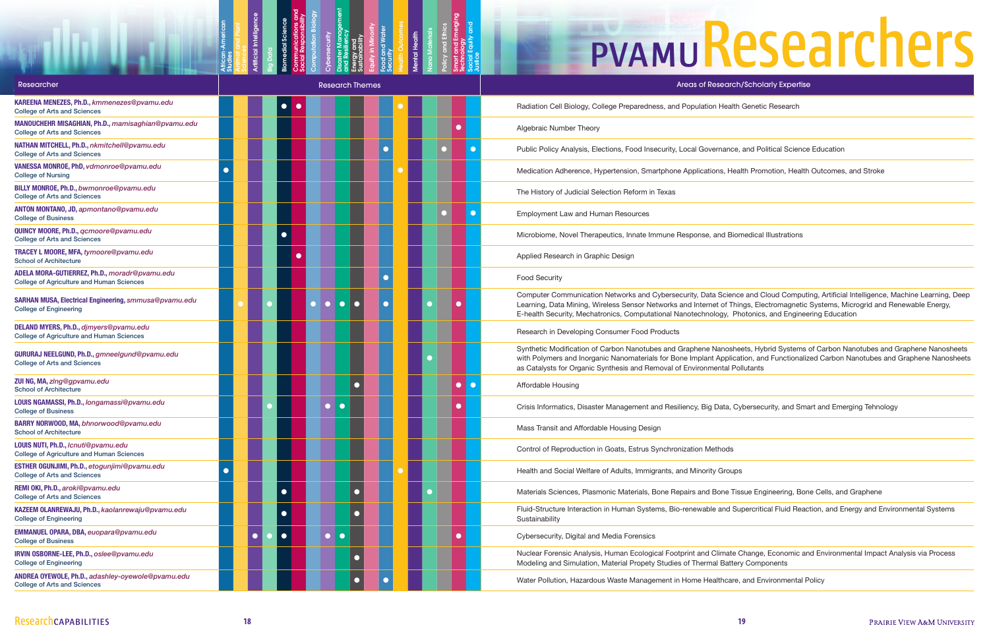Studies

Animal and Plant

Artificial Intelligence

Disaster Management and Resiliency Energy and Sustainability Equity in Minority Food and Water **Security** 

Big Data

Biomedial Science Communications and Social Responsibility Computation Biology

Cybersecurity

Health Outcomes Mental Health Nano Materials Policy and Ethics Smart and Emerging **Technology** Social Equity and

Justice

| Researcher                                                                                        |  |           | <b>Research Themes</b> |  |  | Areas of Research/Scholarly Expertise                                                                                                                                                                                                                                                                   |
|---------------------------------------------------------------------------------------------------|--|-----------|------------------------|--|--|---------------------------------------------------------------------------------------------------------------------------------------------------------------------------------------------------------------------------------------------------------------------------------------------------------|
| KAREENA MENEZES, Ph.D., kmmenezes@pvamu.edu<br><b>College of Arts and Sciences</b>                |  |           |                        |  |  | Radiation Cell Biology, College Preparedness, and Population Health Genetic Research                                                                                                                                                                                                                    |
| MANOUCHEHR MISAGHIAN, Ph.D., mamisaghian@pvamu.edu<br><b>College of Arts and Sciences</b>         |  |           |                        |  |  | Algebraic Number Theory                                                                                                                                                                                                                                                                                 |
| NATHAN MITCHELL, Ph.D., nkmitchell@pvamu.edu<br><b>College of Arts and Sciences</b>               |  |           |                        |  |  | Public Policy Analysis, Elections, Food Insecurity, Local Governance, and Political Science Education                                                                                                                                                                                                   |
| VANESSA MONROE, PhD, vdmonroe@pvamu.edu<br><b>College of Nursing</b>                              |  |           |                        |  |  | Medication Adherence, Hypertension, Smartphone Applications, Health Promotion, Health Outcomes                                                                                                                                                                                                          |
| BILLY MONROE, Ph.D., bwmonroe@pvamu.edu<br><b>College of Arts and Sciences</b>                    |  |           |                        |  |  | The History of Judicial Selection Reform in Texas                                                                                                                                                                                                                                                       |
| ANTON MONTANO, JD, apmontano@pvamu.edu<br><b>College of Business</b>                              |  |           |                        |  |  | Employment Law and Human Resources                                                                                                                                                                                                                                                                      |
| QUINCY MOORE, Ph.D., gcmoore@pvamu.edu<br><b>College of Arts and Sciences</b>                     |  |           |                        |  |  | Microbiome, Novel Therapeutics, Innate Immune Response, and Biomedical Illustrations                                                                                                                                                                                                                    |
| TRACEY L MOORE, MFA, tymoore@pvamu.edu<br><b>School of Architecture</b>                           |  |           |                        |  |  | Applied Research in Graphic Design                                                                                                                                                                                                                                                                      |
| ADELA MORA-GUTIERREZ, Ph.D., moradr@pvamu.edu<br><b>College of Agriculture and Human Sciences</b> |  |           |                        |  |  | <b>Food Security</b>                                                                                                                                                                                                                                                                                    |
| SARHAN MUSA, Electrical Engineering, smmusa@pvamu.edu<br><b>College of Engineering</b>            |  |           |                        |  |  | Computer Communication Networks and Cybersecurity, Data Science and Cloud Computing, Artificia<br>Learning, Data Mining, Wireless Sensor Networks and Internet of Things, Electromagnetic Systems, N<br>E-health Security, Mechatronics, Computational Nanotechnology, Photonics, and Engineering Educa |
| DELAND MYERS, Ph.D., djmyers@pvamu.edu<br><b>College of Agriculture and Human Sciences</b>        |  |           |                        |  |  | Research in Developing Consumer Food Products                                                                                                                                                                                                                                                           |
| GURURAJ NEELGUND, Ph.D., gmneelgund@pvamu.edu<br><b>College of Arts and Sciences</b>              |  |           |                        |  |  | Synthetic Modification of Carbon Nanotubes and Graphene Nanosheets, Hybrid Systems of Carbon I<br>with Polymers and Inorganic Nanomaterials for Bone Implant Application, and Functionalized Carbon<br>as Catalysts for Organic Synthesis and Removal of Environmental Pollutants                       |
| ZUI NG, MA, zing@gpvamu.edu<br><b>School of Architecture</b>                                      |  |           |                        |  |  | Affordable Housing                                                                                                                                                                                                                                                                                      |
| LOUIS NGAMASSI, Ph.D., longamassi@pvamu.edu<br><b>College of Business</b>                         |  |           |                        |  |  | Crisis Informatics, Disaster Management and Resiliency, Big Data, Cybersecurity, and Smart and Eme                                                                                                                                                                                                      |
| BARRY NORWOOD, MA, bhnorwood@pvamu.edu<br><b>School of Architecture</b>                           |  |           |                        |  |  | Mass Transit and Affordable Housing Design                                                                                                                                                                                                                                                              |
| LOUIS NUTI, Ph.D., Icnuti@pvamu.edu<br><b>College of Agriculture and Human Sciences</b>           |  |           |                        |  |  | Control of Reproduction in Goats, Estrus Synchronization Methods                                                                                                                                                                                                                                        |
| ESTHER OGUNJIMI, Ph.D., etogunjimi@pvamu.edu<br><b>College of Arts and Sciences</b>               |  |           |                        |  |  | Health and Social Welfare of Adults, Immigrants, and Minority Groups                                                                                                                                                                                                                                    |
| REMI OKI, Ph.D., aroki@pvamu.edu<br><b>College of Arts and Sciences</b>                           |  | $\bullet$ |                        |  |  | Materials Sciences, Plasmonic Materials, Bone Repairs and Bone Tissue Engineering, Bone Cells, an                                                                                                                                                                                                       |
| KAZEEM OLANREWAJU, Ph.D., kaolanrewaju@pvamu.edu<br><b>College of Engineering</b>                 |  | $\bullet$ |                        |  |  | Fluid-Structure Interaction in Human Systems, Bio-renewable and Supercritical Fluid Reaction, and E<br>Sustainability                                                                                                                                                                                   |
| EMMANUEL OPARA, DBA, euopara@pvamu.edu<br><b>College of Business</b>                              |  | $\bullet$ | $\bullet$<br>$\bullet$ |  |  | Cybersecurity, Digital and Media Forensics                                                                                                                                                                                                                                                              |
| IRVIN OSBORNE-LEE, Ph.D., oslee@pvamu.edu<br><b>College of Engineering</b>                        |  |           |                        |  |  | Nuclear Forensic Analysis, Human Ecological Footprint and Climate Change, Economic and Environn<br>Modeling and Simulation, Material Propety Studies of Thermal Battery Components                                                                                                                      |
| ANDREA OYEWOLE, Ph.D., adashley-oyewole@pvamu.edu<br><b>College of Arts and Sciences</b>          |  |           |                        |  |  | Water Pollution, Hazardous Waste Management in Home Healthcare, and Environmental Policy                                                                                                                                                                                                                |



Realth Promotion, Health Outcomes, and Stroke

cience and Cloud Computing, Artificial Intelligence, Machine Learning, Deep f Things, Electromagnetic Systems, Microgrid and Renewable Energy, y, Photonics, and Engineering Education

osheets, Hybrid Systems of Carbon Nanotubes and Graphene Nanosheets plication, and Functionalized Carbon Nanotubes and Graphene Nanosheets al Pollutants

ta, Cybersecurity, and Smart and Emerging Tehnology

ne Tissue Engineering, Bone Cells, and Graphene

Id Supercritical Fluid Reaction, and Energy and Environmental Systems

nate Change, Economic and Environmental Impact Analysis via Process **Mattery Components**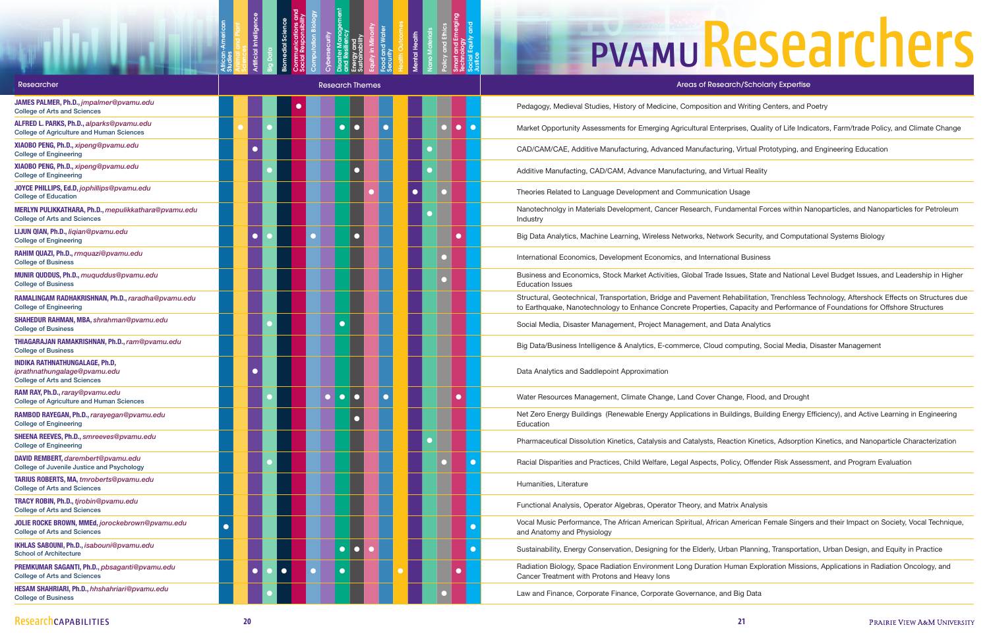Studies

Animal and Plant

Artificial Intelligence

Disaster Management and Resiliency Energy and Sustainability Equity in Minority Food and Water **Security** 

Big Data

Biomedial Science Communications and Social Responsibility Computation Biology

Cybersecurity

Health Outcomes Mental Health Nano Materials Policy and Ethics Smart and Emerging **Technology** Social Equity and

Justice

### **EPVAMUResearchers**

rprises, Quality of Life Indicators, Farm/trade Policy, and Climate Change

ng, Virtual Prototyping, and Engineering Education

Arta Menterial Forces within Nanoparticles, and Nanoparticles for Petroleum

ork Security, and Computational Systems Biology

Issues, State and National Level Budget Issues, and Leadership in Higher

Rehabilitation, Trenchless Technology, Aftershock Effects on Structures due , Capacity and Performance of Foundations for Offshore Structures

computing, Social Media, Disaster Management

Cuildings, Building Energy Efficiency), and Active Learning in Engineering

eaction Kinetics, Adsorption Kinetics, and Nanoparticle Characterization

Policy, Offender Risk Assessment, and Program Evaluation

In American Female Singers and their Impact on Society, Vocal Technique,

rban Planning, Transportation, Urban Design, and Equity in Practice

Human Exploration Missions, Applications in Radiation Oncology, and

| <b>Researcher</b>                                                                                            |                        | <b>Research Themes</b>                             | Areas of Research/Scholarly Expertise                                                                                                                                                       |
|--------------------------------------------------------------------------------------------------------------|------------------------|----------------------------------------------------|---------------------------------------------------------------------------------------------------------------------------------------------------------------------------------------------|
| JAMES PALMER, Ph.D., jmpalmer@pvamu.edu<br><b>College of Arts and Sciences</b>                               |                        |                                                    | Pedagogy, Medieval Studies, History of Medicine, Composition and Writing Centers, and Poetry                                                                                                |
| ALFRED L. PARKS, Ph.D., alparks@pvamu.edu<br><b>College of Agriculture and Human Sciences</b>                | $\bullet$              | $\bullet$<br>$\bullet$ .<br>$\bullet$<br>$\bullet$ | Market Opportunity Assessments for Emerging Agricultural Enterprises, Quality of Life Indicators                                                                                            |
| XIAOBO PENG, Ph.D., xipeng@pvamu.edu<br><b>College of Engineering</b>                                        |                        |                                                    | CAD/CAM/CAE, Additive Manufacturing, Advanced Manufacturing, Virtual Prototyping, and Eng                                                                                                   |
| XIAOBO PENG, Ph.D., xipeng@pvamu.edu<br><b>College of Engineering</b>                                        |                        |                                                    | Additive Manufacting, CAD/CAM, Advance Manufacturing, and Virtual Reality                                                                                                                   |
| JOYCE PHILLIPS, Ed.D, jophillips@pvamu.edu<br><b>College of Education</b>                                    |                        |                                                    | Theories Related to Language Development and Communication Usage                                                                                                                            |
| MERLYN PULIKKATHARA, Ph.D., mepulikkathara@pvamu.edu<br><b>College of Arts and Sciences</b>                  |                        |                                                    | Nanotechnolgy in Materials Development, Cancer Research, Fundamental Forces within Nanopa<br>Industry                                                                                       |
| LIJUN QIAN, Ph.D., ligian@pvamu.edu<br><b>College of Engineering</b>                                         |                        |                                                    | Big Data Analytics, Machine Learning, Wireless Networks, Network Security, and Computationa                                                                                                 |
| RAHIM QUAZI, Ph.D., rmquazi@pvamu.edu<br><b>College of Business</b>                                          |                        |                                                    | International Economics, Development Economics, and International Business                                                                                                                  |
| MUNIR QUDDUS, Ph.D., muquddus@pvamu.edu<br><b>College of Business</b>                                        |                        |                                                    | Business and Economics, Stock Market Activities, Global Trade Issues, State and National Leve<br><b>Education Issues</b>                                                                    |
| RAMALINGAM RADHAKRISHNAN, Ph.D., raradha@pvamu.edu<br><b>College of Engineering</b>                          |                        |                                                    | Structural, Geotechnical, Transportation, Bridge and Pavement Rehabilitation, Trenchless Techn<br>to Earthquake, Nanotechnology to Enhance Concrete Properties, Capacity and Performance of |
| SHAHEDUR RAHMAN, MBA, shrahman@pvamu.edu<br><b>College of Business</b>                                       | С                      |                                                    | Social Media, Disaster Management, Project Management, and Data Analytics                                                                                                                   |
| THIAGARAJAN RAMAKRISHNAN, Ph.D., ram@pvamu.edu<br><b>College of Business</b>                                 |                        |                                                    | Big Data/Business Intelligence & Analytics, E-commerce, Cloud computing, Social Media, Disas                                                                                                |
| <b>INDIKA RATHNATHUNGALAGE, Ph.D,</b><br>iprathnathungalage@pvamu.edu<br><b>College of Arts and Sciences</b> |                        |                                                    | Data Analytics and Saddlepoint Approximation                                                                                                                                                |
| RAM RAY, Ph.D., raray@pvamu.edu<br><b>College of Agriculture and Human Sciences</b>                          | $\bullet$              |                                                    | Water Resources Management, Climate Change, Land Cover Change, Flood, and Drought                                                                                                           |
| RAMBOD RAYEGAN, Ph.D., rarayegan@pvamu.edu<br><b>College of Engineering</b>                                  |                        |                                                    | Net Zero Energy Buildings (Renewable Energy Applications in Buildings, Building Energy Efficie<br>Education                                                                                 |
| SHEENA REEVES, Ph.D., smreeves@pvamu.edu<br><b>College of Engineering</b>                                    |                        |                                                    | Pharmaceutical Dissolution Kinetics, Catalysis and Catalysts, Reaction Kinetics, Adsorption Kin                                                                                             |
| DAVID REMBERT, darembert@pvamu.edu<br>College of Juvenile Justice and Psychology                             |                        |                                                    | Racial Disparities and Practices, Child Welfare, Legal Aspects, Policy, Offender Risk Assessmen                                                                                             |
| TARIUS ROBERTS, MA, tmroberts@pvamu.edu<br><b>College of Arts and Sciences</b>                               |                        |                                                    | Humanities, Literature                                                                                                                                                                      |
| TRACY ROBIN, Ph.D., tjrobin@pvamu.edu<br><b>College of Arts and Sciences</b>                                 |                        |                                                    | Functional Analysis, Operator Algebras, Operator Theory, and Matrix Analysis                                                                                                                |
| JOLIE ROCKE BROWN, MMEd, jorockebrown@pvamu.edu<br><b>College of Arts and Sciences</b>                       |                        |                                                    | Vocal Music Performance, The African American Spiritual, African American Female Singers and<br>and Anatomy and Physiology                                                                  |
| IKHLAS SABOUNI, Ph.D., isabouni@pvamu.edu<br><b>School of Architecture</b>                                   | $\bullet$              | $\bullet$                                          | Sustainability, Energy Conservation, Designing for the Elderly, Urban Planning, Transportation, U                                                                                           |
| PREMKUMAR SAGANTI, Ph.D., pbsaganti@pvamu.edu<br><b>College of Arts and Sciences</b>                         | $\bullet$<br>$\bullet$ |                                                    | Radiation Biology, Space Radiation Environment Long Duration Human Exploration Missions, A<br>Cancer Treatment with Protons and Heavy lons                                                  |
| HESAM SHAHRIARI, Ph.D., hhshahriari@pvamu.edu<br><b>College of Business</b>                                  |                        |                                                    | Law and Finance, Corporate Finance, Corporate Governance, and Big Data                                                                                                                      |
|                                                                                                              |                        |                                                    |                                                                                                                                                                                             |